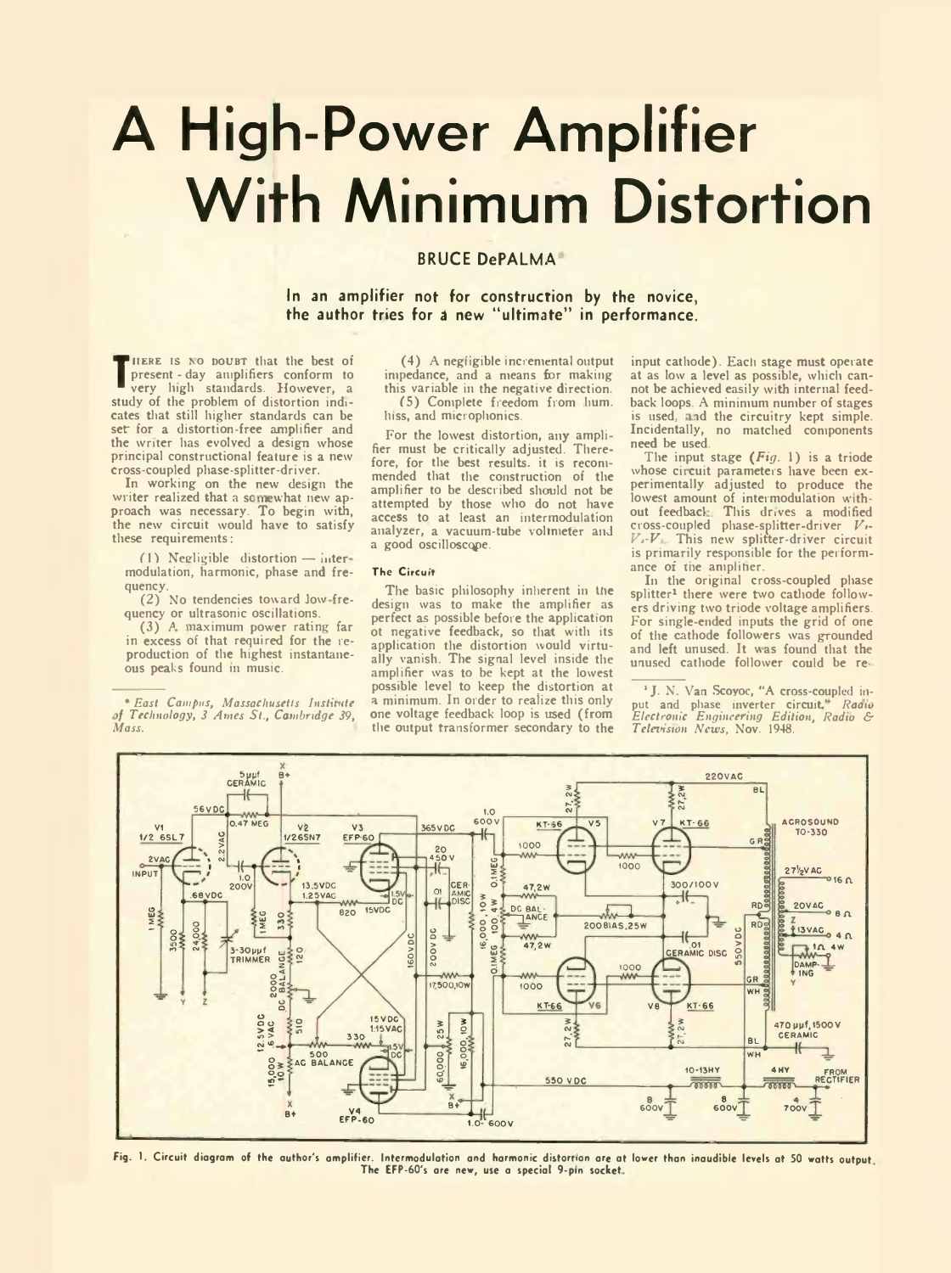# **A High-Power Amplifier With Minimum Distortion**

## **BRUCE DePALMA**

**In an amplifier not for construction by the novice, the author tries for** *A* **new " ultimate" in performance.**

**The present - day amplifiers conform to**<br>
very liigh standards. However, a<br>
study of the problem of distortion indi-HERE IS NO DOUBT that the best of present - day amplifiers conform to very high standards. However, a cates that still higher standards can be set for a distortion-free amplifier and the writer has evolved a design whose principal constructional feature is a new cross-coupled phase-splitter-driver.

In working on the new design the writer realized that a somewhat new approach was necessary. To begin with, the new circuit would have to satisfy these requirements:

 $(1)$  Negligible distortion — intermodulation, harmonic, phase and frequency.

(2) No tendencies toward Jow frequency or ultrasonic oscillations.

(3) *A* naximum power rating far in excess of that required for the reproduction of the highest instantaneous peaks found in music.

\* *East Campus, Massachusetts Institute if Technology, 3 Ames St., Cambridge 39, Mass.*

(4) A negligible incremental output impedance, and a means for making this variable in the negative direction. (5) Complete freedom from hum. lnss, and microphonics.

For the lowest distortion, any amplifier must be critically adjusted. Therefore, for the best results, it is recommended that the construction of the amplifier to be described should not be attempted by those who do not have access to at least an intermodulation analyzer, a vacuum-tube voltmeter and a good oscilloscope.

### The Circuit

The basic philosophy inherent in the design was to make the amplifier as perfect as possible before the application ot negative feedback, so that with its application the distortion would virtually vanish. The signal level inside the amplifier was to be kept at the lowest possible level to keep the distortion at a minimum. In order to realize this only one voltage feedback loop is used (from the output transformer secondary to the input cathode). Each stage must operate at as low a level as possible, which cannot be achieved easily with internal feedback loops. A minimum number of stages is used, and the circuitry kept simple. Incidentally, no matched components need be used.

The input stage *(Fig.* 1) is a triode whose circuit parameters have been experimentally adjusted to produce the lowest amount of intermodulation with-<br>out feedback. This drives a modified<br>cross-coupled phase-splitter-driver *V<sub>1</sub>*-*V ,-V* This new splitter-driver circuit is primarily responsible for the performance of the ampliher.

In the original cross-coupled phase splitter<sup>1</sup> there were two cathode followers driving two triode voltage amplifiers. For single-ended inputs the grid of one of the cathode followers was grounded and left unused. It was found that the unused cathode follower could be re-

<sup>1</sup> J. N. Van Scoyoc, "A cross-coupled input and phase inverter circuit' *Raatv Electronic Engineering Edition, Radio & Television News,* Nov. 1948.



Fig. 1. Circuit diagram of the author's amplifier. Intermodulation and harmonic distortion are at lower than inaudible levels at 50 watts output. The EFP-60's are new, use a special 9-pm socket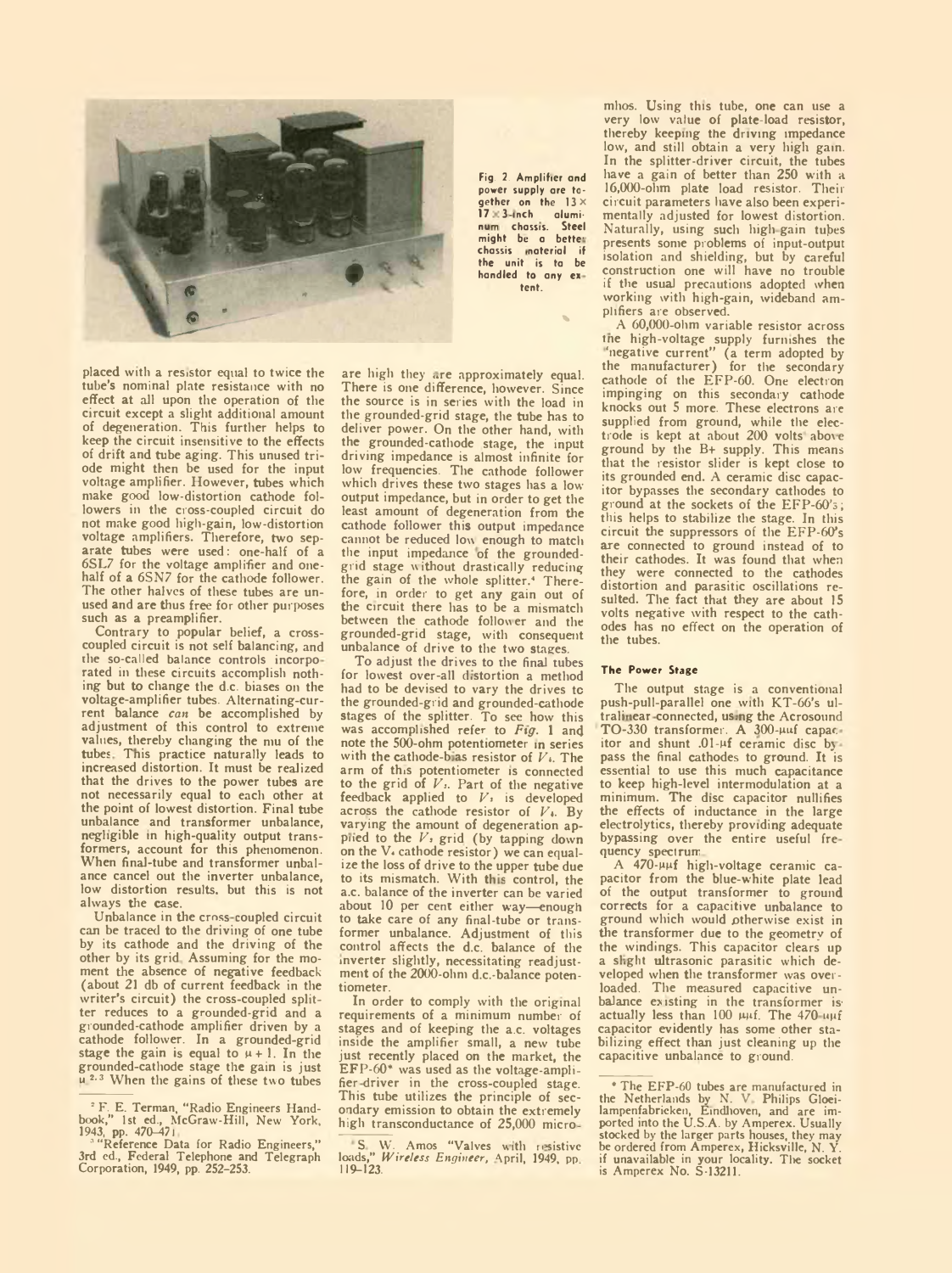

placed with a resistor equal to twice the tube's nominal plate resistance with no effect at all upon the operation of the circuit except a slight additional amount of degeneration. This further helps to keep the circuit insensitive to the effects of drift and tube aging. This unused triode might then be used for the input voltage amplifier. However, tubes which make good low-distortion cathode followers in the cross-coupled circuit do not make good high-gain, low-distortion voltage amplifiers. Therefore, two separate tubes were used: one-half of a 6SL7 for the voltage amplifier and onehalf of a 6SN7 for the cathode follower. The other halves of these tubes are unused and are thus free for other purposes such as a preamplifier.

Contrary to popular belief, a crosscoupled circuit is not self balancing, and rhe so-called balance controls incorpo rated in these circuits accomplish nothing but to change the d.c. biases on the voltage-amplifier tubes. Alternating-current balance *can* be accomplished by adjustment of this control to extreme values, thereby changing the mu of the tubes Tnis practice naturally leads to increased distortion. It must be realized that the drives to the power tubes are not necessarily equal to each other at the point of lowest distortion. Final tube unbalance and transformer unbalance, negligible in high-quality output transformers, account for this phenomenon. When final-tube and transformer unbalance cancel out the inverter unbalance, low distortion results, but this is not always the case.

Unbalance in the cross coupled circuit can be traced to the driving of one tube by its cathode and the driving of the other by its grid Assuming for the moment the absence of negative feedback (about 21 db of current feedback in the writer's circuit) the cross-coupled splitter reduces to a grounded-grid and a grounded-cathode amplifier driven by a cathode follower. In a grounded-grid stage the gain is equal to  $\mu + 1$ . In the grounded-cathode stage the gain is just u<sup>2.3</sup> When the gains of these two tubes Fig. 2. Amplifier and power supply are together on the  $13 \times 17 = 3$ -inch alumi-17 3 inch alumi-na chassis. Steel might be a better chassis inaterial the unit is ta be handled to any ex tent.

%

are high they are approximately equal. There is one difference, however. Since the source is in series with the load in the grounded-grid stage, the tube has to deliver power. On the other hand, with the grounded-cathode stage, the input driving impedance is almost infinite for low frequencies. The cathode follower which drives these two stages has a lowoutput impedance, but in order to get the least amount of degeneration from the cathode follower this output impedance cannot be reduced low enough to match the input impedance of the groundedgrid stage without drastically reducing the gain of the whole splitter.4 Therefore, in order to get any gain out of the circuit there has to be a mismatch between the cathode follower and the grounded-grid stage, with consequent unbalance of drive to the two stages.

To adjust the drives to the final tubes for lowest over-all distortion a method had to be devised to vary the drives to the grounded-grid and grounded-cathode stages of the splitter. To see how this was accomplished refer to Fig. 1 and note the 500-ohm potentiometer in series with the cathode-bias resistor of  $V<sub>t</sub>$ . The arm of this potentiometer is connected to the grid of  $V<sub>5</sub>$ . Part of the negative feedback applied to  $V_1$  is developed across the cathode resistor of  $V_4$ . By varying the amount of degeneration applied to the  $V_1$  grid (by tapping down<br>on the V. cathode resistor) we can equalize the loss of drive to the upper tube due to its mismatch. With this control, the a.c. balance of the inverter can be varied about 10 per cent either way—enough to take care of any final-tube or transformer unbalance. Adjustment of this control affects the d.c. balance of the inverter slightly, necessitating readjust-ment of the 2000-ohm d.c.-balance potentiometer.

In order to comply with the original requirements of a minimum number of stages and of keeping the a.c. voltages inside the amplifier small, a new tube just recently placed on the market, the EFP-60\* was used as the voltage-amplifier driver in the cross-coupled stage. This tube utilizes the principle of secondary emission to obtain the extremely high transconductance of 25,000 micromhos. Using this tube, one can use a very low value of plate-load resistor, thereby keeping the driving impedance low, and still obtain a very high gain. In the splitter-driver circuit, the tubes have a gain of better than 250 with a 16,000-ohm plate load resistor. Their circuit parameters have also been experimentally adjusted for lowest distortion. Naturally, using such high gain tubes presents some problems of input-output isolation and shielding, but by careful construction one will have no trouble if the usual precautions adopted when working with high-gain, wideband amplifiers are observed.

A 60,000-ohm variable resistor across tne high-voltage supply furnishes the 'negative current" (a term adopted by the manufacturer) for the secondary cathode of the EFP-60. One electron impinging on this secondary cathode knocks out 5 more. These electrons are supplied from ground, while the elec-<br>trode is kept at about 200 volts above ground by the B+ supply. This means that the resistor slider is kept close to its grounded end. A ceramic disc capacitor bypasses the secondary cathodes to ground at the sockets of the EFP-60's; this helps to stabilize the stage. In this circuit the suppressors of the EFP-60's are connected to ground instead of to their cathodes. It was found that when they were connected to the cathodes distortion and parasitic oscillations resulted. The fact that they are about 15 volts negative with respect to the cathodes has no effect on the operation of the tubes.

### The Power Stage

The output stage is a conventional push-pull-parallel one with KT-66's ultralinear connected, using the Acrosound TO-330 transformer. A 300-puf capar. itor and shunt .01-uf ceramic disc bj pass the final cathodes to ground. It is essential to use this much capacitance to keep high-level intermodulation at a minimum. The disc capacitor nullifies the effects of inductance in the large electrolytics, thereby providing adequate bypassing over the entire useful fre quency spectrum

A 470-uuf high-voltage ceramic capacitor from the blue-white plate lead of the output transformer to ground corrects for a capacitive unbalance to ground which would otherwise exist in the transformer due to the geometry of the windings. This capacitor clears up a slight ultrasonic parasitic which developed when the transformer was overloaded. The measured capacitive unbalance existing in the transformer is' actually less than 100  $\mu\mu$ f. The 470  $\mu\mu$ f capacitor evidently has some other stabilizing effect than just cleaning up the capacitive unbalance to ground.

*<sup>&#</sup>x27;* F. E. Terman, "Radio Engineers Hand-book," 1st ed., McGraw-Hill, New York, 1943, pp. 470-471

<sup>&#</sup>x27; "Reference Data for Radio Engineers," 3rd ed., Federal Telephone and Telegraph Corporation, 1949, pp. 252-253.

S W. Amos "Valves with resistive loads," *Wireless Engineer*, April, 1949, pp. 119–123.

<sup>\*</sup> The EFP-60 tubes are manufactured in the Netherlands by N. V Philips Gloei-lampenfabricken, Eindhoven, and are im-ported into the U.S.A. by Amperex. Usually stocked by the larger parts houses, they may be ordered from Amperex, Hicksville, N. Y. if unavailable in your locality. The socket<br>is Amperex No. S-13211.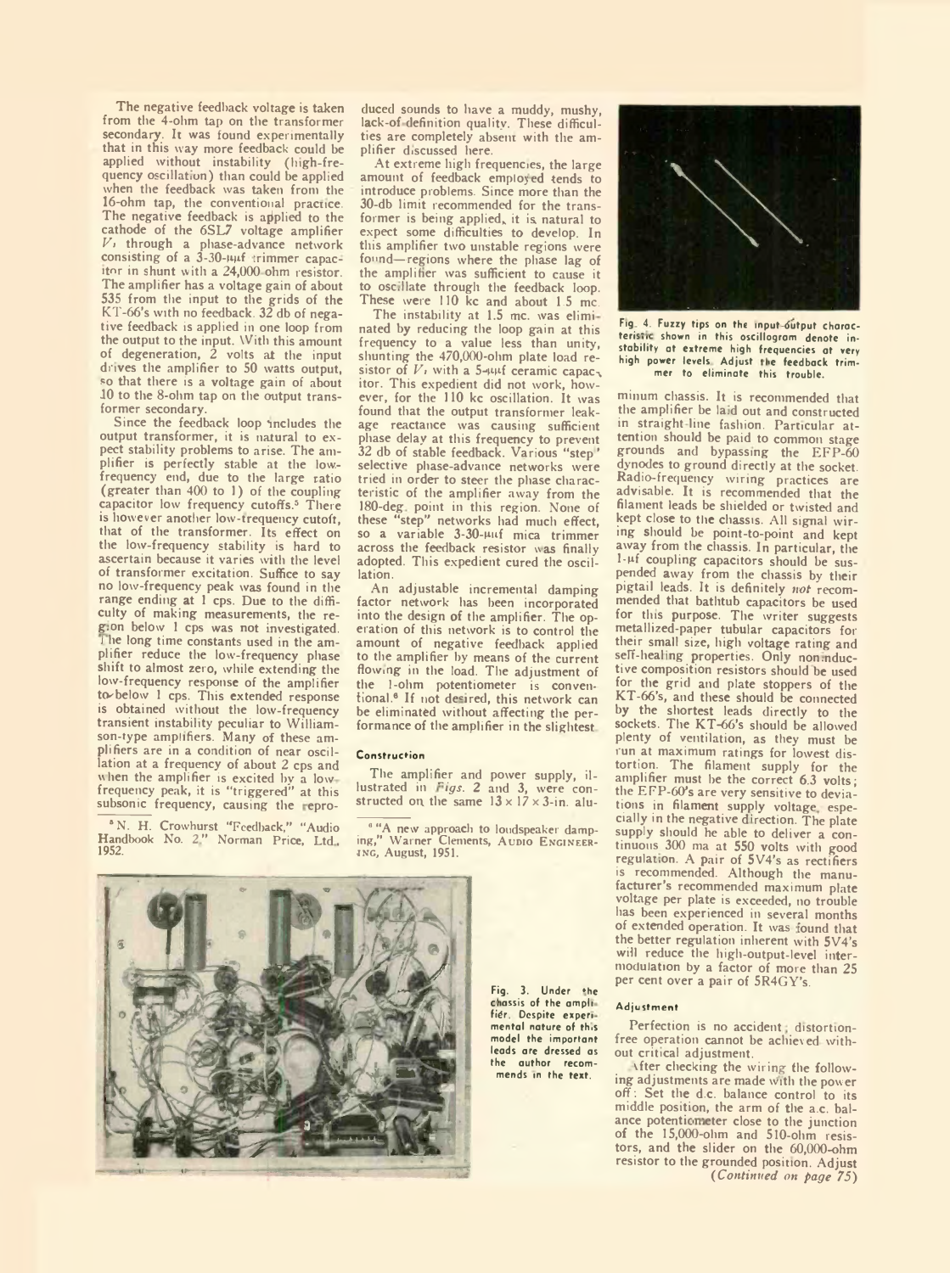The negative feedback voltage is taken from the 4-ohm tap on the transformer secondary. It was found experimentally that in this way more feedback could be applied without instability (high-frequency oscillation) than could be applied when the feedback was taken from the 16-ohm tap, the conventional practice. The negative feedback is applied to the cathode of the 6SL7 voltage amplifier *Vt* through a phase-advance network consisting of a 3-30- $\mu$ t trimmer capacitor in shunt with a 24,000 ohm resistor. The amplifier has a voltage gain of about 535 from the input to the grids of the KT-66's with no feedback. 32 db of negative feedback is applied in one loop from the output to the input. With this amount of degeneration, 2 volts at the input drives the amplifier to 50 watts output, so that there is a voltage gain of about 10 to the 8-ohm tap on the output transformer secondary.

Since the feedback loop includes the output transformer, it is natural to expect stability problems to arise. The amplifier is perfectly stable at the lowfrequency end, due to the large ratio (greater than 400 to 1) of the coupling capacitor low frequency cutoffs.<sup>5</sup> There is however another low-trequency cutoft. that of the transformer. Its effect on the low-frequency stability is hard to ascertain because it varies with the level of transformer excitation. Suffice to say no low-frequency peak was found in the range ending at 1 cps. Due to the difficulty of making measurements, the reg.on below 1 cps was not investigated. he long time constants used in the amplifier reduce the low-frequency phase shift to almost zero, while extending the low-frequency response of the amplifier to below 1 cps. This extended response is obtained without the low-frequency transient instability peculiar to William-son-type amplifiers. Many of these amplifiers are in a condition of near oscillation at a frequency of about 2 cps and when the amplifier is excited by a low-<br>frequency peak, it is "triggered" at this<br>subsonic frequency, causing the repro-

\*N. H. Crowhurst "Feedback," "Audio Handbook No. *2"* Norman Price, Ltd, 1952.

duced sounds to have a muddy, mushy, lack-of definition quality. These difficulties are completely absent with the amplifier discussed here.

At extreme high frequencies, the large amount of feedback employ ed tends to introduce problems. Since more than the 30-db limit recommended for the transformer is being applied, it is natural to expect some difficulties to develop. In this amplifier two unstable regions were found—regions where the phase lag of the amplifier was sufficient to cause it to osc.llate through the feedback loop. These were 110 kc and about 1.5 mc.

The instability at 1.5 mc. was eliminated by reducing the loop gain at this frequency to a value less than unity, shunting the 470,000-ohm plate load resistor of  $V$ , with a 5-wif ceramic capacitor. This expedient did not work, however, for the 110 kc oscillation. It was found that the output transformer leakage reactance was causing sufficient phase delay at this frequency to prevent 32 db of stable feedback. Various "step ' selective phase-advance networks were tried in order to steer the phase characteristic of the amplifier away from the 180-deg point in this region. None of "step" networks had much effect, so a variable 3-30-uuf mica trimmer across the feedback resistor was finally adopted. This expedient cured the oscillation.

An adjustable incremental damping factor network has been incorporated into the design of the amplifier. The operation of this network is to control the amount of negative feedback applied to the amplifier by means of the current flowing in the load. The adjustment of the 1-ohm potentiometer is conventional.6 If not desired, this network can be eliminated without affecting the performance of the amplifier in the slightest

#### Construction

The amplifier and power supply, illustrated in *Figs.* 2 and 3, were con-<br>structed on the same  $13 \times 17 \times 3$ -in. alu-

<sup>8</sup> "A new approach to loudspeaker damp-<br>ing," Warner Clements, Aupio Engineer-<br>ING, August, 1951.



Fig. 3. Under »he chassis of the amplifier. Despite experimental nature of this model the important leads are dressed as the author recom-mends in the text.



Fig. 4. Fuzzy tips on the input-output characteristic shown in this oscillogram denote instability at extreme high frequencies at very high power levels. Adjust the feedback trimmer to eliminate this trouble.

minum chassis. It is recommended that the amplifier be la.d out and constructed in straight line fashion. Particular attention should be paid to common stage grounds and bypassing the EFP-60 dynodes to ground directly at the socket. Radio-frequency wiring practices are advisable. It is recommended that the filament leads be shielded or twisted and kept close to the chassis. All signal wiring should he point-to-point and kept away from the chassis. In particular, the 1-pf coupling capacitors should he suspended away from the chassis by their pigtail leads. It is definitely *not* recommended that bathtub capacitors be used for this purpose. The writer suggests metallized-paper tubular capacitors for their small size, high voltage rating and self-healing properties. Only non.nductive composition resistors should be used for the grid and plate stoppers of the KT-66's, and these should be connected by the shortest leads directly to the sockets. The KT-66's should be allowed plenty of ventilation, as they must be run at maximum ratings for lowest distortion. The filament supply for the amplifier must be the correct 6.3 volts; the EFP-60's are very sensitive to deviations in filament supply voltage, especially in the negative direction. The plate supply should he able to deliver a continuous 300 ma at 550 volts with good regulation. A pair of 5V4's as rectifiers is recommended. Although the manufacturer's recommended maximum plate voltage per plate is exceeded, no trouble has been experienced in several months of extended operation. It was found that the better regulation inherent with 5V4's will reduce the high-output-level intermodulation by a factor of more than 25 per cent over a pair of 5R4GY's.

### Adjustment

Perfection is no accident; distortionfree operation cannot be achieved without critical adjustment.

vfter checking the wiring the following adjustments are made with the power off; Set the d.c. balance control to its middle position, the arm of the a.c. balance potentiometer close to the junction of the 15,000-ohm and 510-ohm resistors, and the slider on the 60,000-ohm resistor to the grounded position. Adjust *( Continued on page 75)*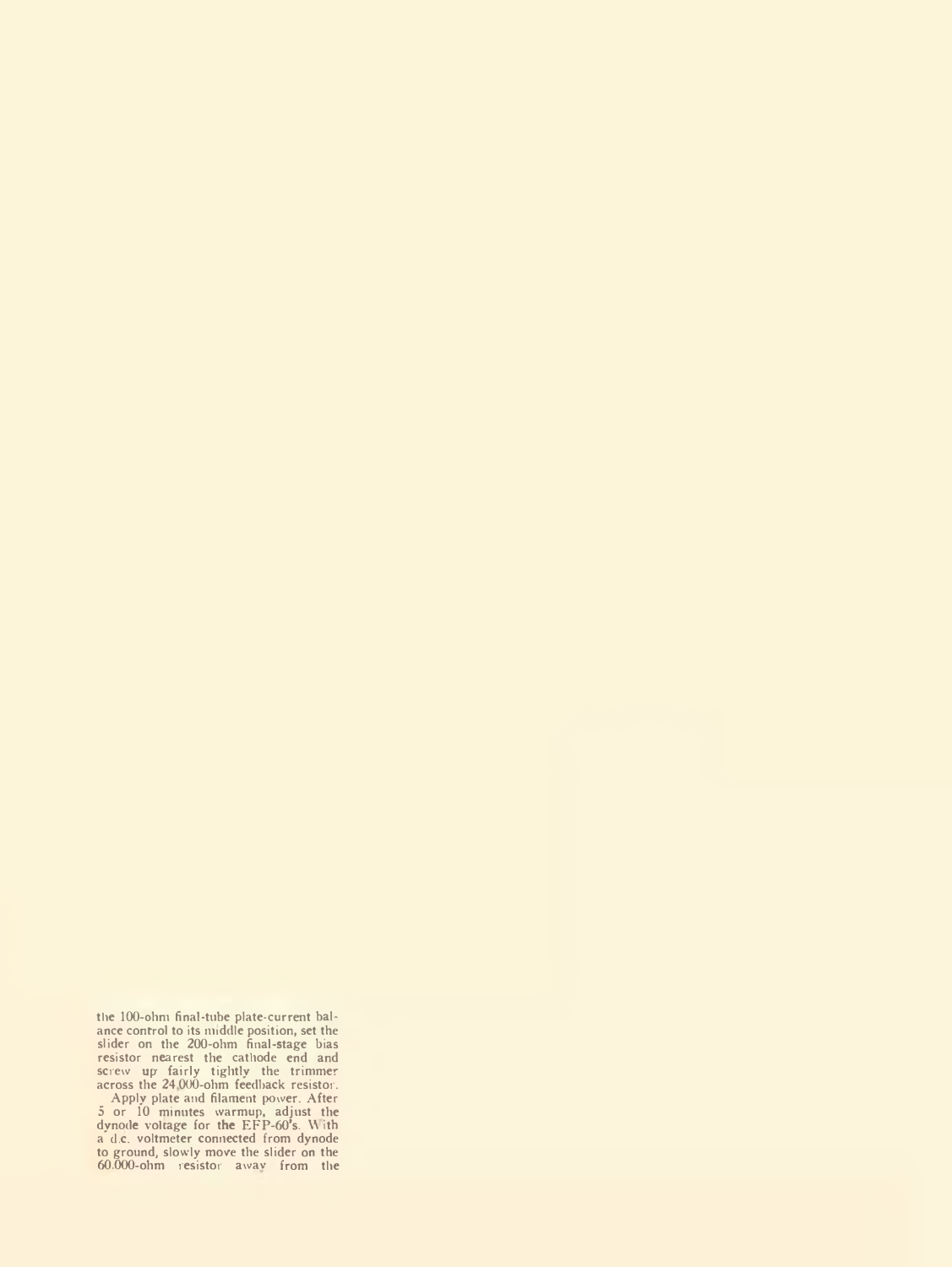the 100-ohm final-tube plate-current bal-<br>ance control to its middle position, set the<br>slider on the 200-ohm final-stage bias<br>resistor nearest the cathode end and<br>screw up fairly tightly the trimmer<br>across the 24,000-ohm f Apply plate and filament power. After 5 or 10 minutes warmup, adjust the dynode voltage for the EFP-60's. With a d.c. voltmeter connected from dynode to ground, slowly move the slider on the 60.000-ohm resistor away from